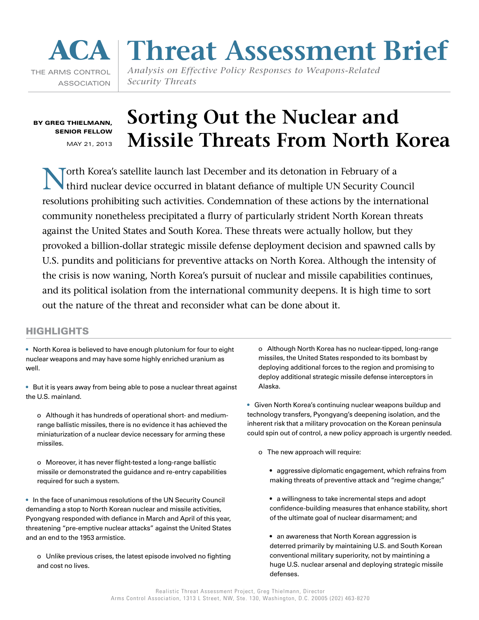# THE ARMS CONTROL ASSOCIATION

# **ACA Threat Assessment Brief**

*Analysis on Effective Policy Responses to Weapons-Related Security Threats*

By Greg Thielmann, Senior Fellow MAY 21, 2013

# **Sorting Out the Nuclear and Missile Threats From North Korea**

North Korea's satellite launch last December and its detonation in February of a third nuclear device occurred in blatant defiance of multiple UN Security Council resolutions prohibiting such activities. Condemnation of these actions by the international community nonetheless precipitated a flurry of particularly strident North Korean threats against the United States and South Korea. These threats were actually hollow, but they provoked a billion-dollar strategic missile defense deployment decision and spawned calls by U.S. pundits and politicians for preventive attacks on North Korea. Although the intensity of the crisis is now waning, North Korea's pursuit of nuclear and missile capabilities continues, and its political isolation from the international community deepens. It is high time to sort out the nature of the threat and reconsider what can be done about it.

# **HIGHLIGHTS**

• North Korea is believed to have enough plutonium for four to eight nuclear weapons and may have some highly enriched uranium as well.

• But it is years away from being able to pose a nuclear threat against the U.S. mainland.

o Although it has hundreds of operational short- and mediumrange ballistic missiles, there is no evidence it has achieved the miniaturization of a nuclear device necessary for arming these missiles.

o Moreover, it has never flight-tested a long-range ballistic missile or demonstrated the guidance and re-entry capabilities required for such a system.

• In the face of unanimous resolutions of the UN Security Council demanding a stop to North Korean nuclear and missile activities, Pyongyang responded with defiance in March and April of this year, threatening "pre-emptive nuclear attacks" against the United States and an end to the 1953 armistice.

o Unlike previous crises, the latest episode involved no fighting and cost no lives.

o Although North Korea has no nuclear-tipped, long-range missiles, the United States responded to its bombast by deploying additional forces to the region and promising to deploy additional strategic missile defense interceptors in Alaska.

• Given North Korea's continuing nuclear weapons buildup and technology transfers, Pyongyang's deepening isolation, and the inherent risk that a military provocation on the Korean peninsula could spin out of control, a new policy approach is urgently needed.

- o The new approach will require:
	- aggressive diplomatic engagement, which refrains from making threats of preventive attack and "regime change;"
	- a willingness to take incremental steps and adopt confidence-building measures that enhance stability, short of the ultimate goal of nuclear disarmament; and
	- an awareness that North Korean aggression is deterred primarily by maintaining U.S. and South Korean conventional military superiority, not by maintining a huge U.S. nuclear arsenal and deploying strategic missile defenses.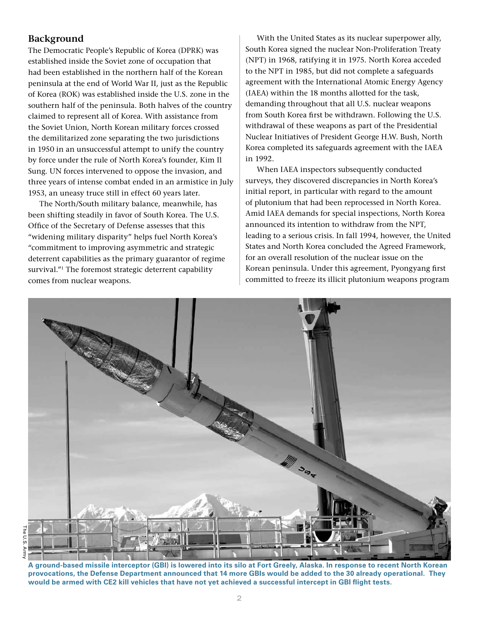# **Background**

The Democratic People's Republic of Korea (DPRK) was established inside the Soviet zone of occupation that had been established in the northern half of the Korean peninsula at the end of World War II, just as the Republic of Korea (ROK) was established inside the U.S. zone in the southern half of the peninsula. Both halves of the country claimed to represent all of Korea. With assistance from the Soviet Union, North Korean military forces crossed the demilitarized zone separating the two jurisdictions in 1950 in an unsuccessful attempt to unify the country by force under the rule of North Korea's founder, Kim Il Sung. UN forces intervened to oppose the invasion, and three years of intense combat ended in an armistice in July 1953, an uneasy truce still in effect 60 years later.

The North/South military balance, meanwhile, has been shifting steadily in favor of South Korea. The U.S. Office of the Secretary of Defense assesses that this "widening military disparity" helps fuel North Korea's "commitment to improving asymmetric and strategic deterrent capabilities as the primary guarantor of regime survival."<sup>1</sup> The foremost strategic deterrent capability comes from nuclear weapons.

With the United States as its nuclear superpower ally, South Korea signed the nuclear Non-Proliferation Treaty (NPT) in 1968, ratifying it in 1975. North Korea acceded to the NPT in 1985, but did not complete a safeguards agreement with the International Atomic Energy Agency (IAEA) within the 18 months allotted for the task, demanding throughout that all U.S. nuclear weapons from South Korea first be withdrawn. Following the U.S. withdrawal of these weapons as part of the Presidential Nuclear Initiatives of President George H.W. Bush, North Korea completed its safeguards agreement with the IAEA in 1992.

When IAEA inspectors subsequently conducted surveys, they discovered discrepancies in North Korea's initial report, in particular with regard to the amount of plutonium that had been reprocessed in North Korea. Amid IAEA demands for special inspections, North Korea announced its intention to withdraw from the NPT, leading to a serious crisis. In fall 1994, however, the United States and North Korea concluded the Agreed Framework, for an overall resolution of the nuclear issue on the Korean peninsula. Under this agreement, Pyongyang first committed to freeze its illicit plutonium weapons program



**A ground-based missile interceptor (GBI) is lowered into its silo at Fort Greely, Alaska. In response to recent North Korean provocations, the Defense Department announced that 14 more GBIs would be added to the 30 already operational. They would be armed with CE2 kill vehicles that have not yet achieved a successful intercept in GBI flight tests.**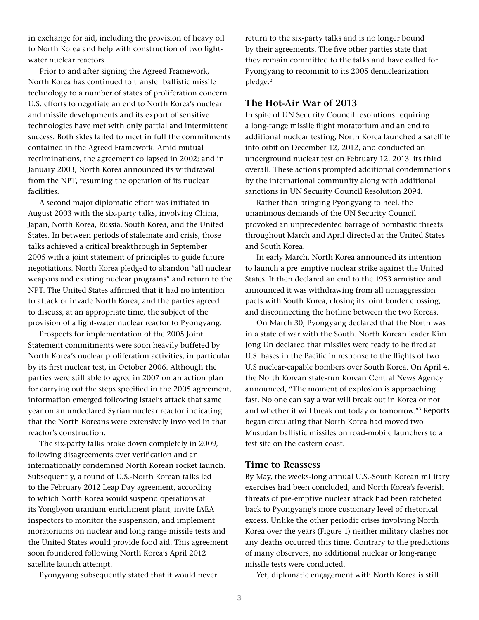in exchange for aid, including the provision of heavy oil to North Korea and help with construction of two lightwater nuclear reactors.

Prior to and after signing the Agreed Framework, North Korea has continued to transfer ballistic missile technology to a number of states of proliferation concern. U.S. efforts to negotiate an end to North Korea's nuclear and missile developments and its export of sensitive technologies have met with only partial and intermittent success. Both sides failed to meet in full the commitments contained in the Agreed Framework. Amid mutual recriminations, the agreement collapsed in 2002; and in January 2003, North Korea announced its withdrawal from the NPT, resuming the operation of its nuclear facilities.

A second major diplomatic effort was initiated in August 2003 with the six-party talks, involving China, Japan, North Korea, Russia, South Korea, and the United States. In between periods of stalemate and crisis, those talks achieved a critical breakthrough in September 2005 with a joint statement of principles to guide future negotiations. North Korea pledged to abandon "all nuclear weapons and existing nuclear programs" and return to the NPT. The United States affirmed that it had no intention to attack or invade North Korea, and the parties agreed to discuss, at an appropriate time, the subject of the provision of a light-water nuclear reactor to Pyongyang.

Prospects for implementation of the 2005 Joint Statement commitments were soon heavily buffeted by North Korea's nuclear proliferation activities, in particular by its first nuclear test, in October 2006. Although the parties were still able to agree in 2007 on an action plan for carrying out the steps specified in the 2005 agreement, information emerged following Israel's attack that same year on an undeclared Syrian nuclear reactor indicating that the North Koreans were extensively involved in that reactor's construction.

The six-party talks broke down completely in 2009, following disagreements over verification and an internationally condemned North Korean rocket launch. Subsequently, a round of U.S.-North Korean talks led to the February 2012 Leap Day agreement, according to which North Korea would suspend operations at its Yongbyon uranium-enrichment plant, invite IAEA inspectors to monitor the suspension, and implement moratoriums on nuclear and long-range missile tests and the United States would provide food aid. This agreement soon foundered following North Korea's April 2012 satellite launch attempt.

Pyongyang subsequently stated that it would never

return to the six-party talks and is no longer bound by their agreements. The five other parties state that they remain committed to the talks and have called for Pyongyang to recommit to its 2005 denuclearization pledge.2

# **The Hot-Air War of 2013**

In spite of UN Security Council resolutions requiring a long-range missile flight moratorium and an end to additional nuclear testing, North Korea launched a satellite into orbit on December 12, 2012, and conducted an underground nuclear test on February 12, 2013, its third overall. These actions prompted additional condemnations by the international community along with additional sanctions in UN Security Council Resolution 2094.

Rather than bringing Pyongyang to heel, the unanimous demands of the UN Security Council provoked an unprecedented barrage of bombastic threats throughout March and April directed at the United States and South Korea.

In early March, North Korea announced its intention to launch a pre-emptive nuclear strike against the United States. It then declared an end to the 1953 armistice and announced it was withdrawing from all nonaggression pacts with South Korea, closing its joint border crossing, and disconnecting the hotline between the two Koreas.

On March 30, Pyongyang declared that the North was in a state of war with the South. North Korean leader Kim Jong Un declared that missiles were ready to be fired at U.S. bases in the Pacific in response to the flights of two U.S nuclear-capable bombers over South Korea. On April 4, the North Korean state-run Korean Central News Agency announced, "The moment of explosion is approaching fast. No one can say a war will break out in Korea or not and whether it will break out today or tomorrow."3 Reports began circulating that North Korea had moved two Musudan ballistic missiles on road-mobile launchers to a test site on the eastern coast.

# **Time to Reassess**

By May, the weeks-long annual U.S.-South Korean military exercises had been concluded, and North Korea's feverish threats of pre-emptive nuclear attack had been ratcheted back to Pyongyang's more customary level of rhetorical excess. Unlike the other periodic crises involving North Korea over the years (Figure 1) neither military clashes nor any deaths occurred this time. Contrary to the predictions of many observers, no additional nuclear or long-range missile tests were conducted.

Yet, diplomatic engagement with North Korea is still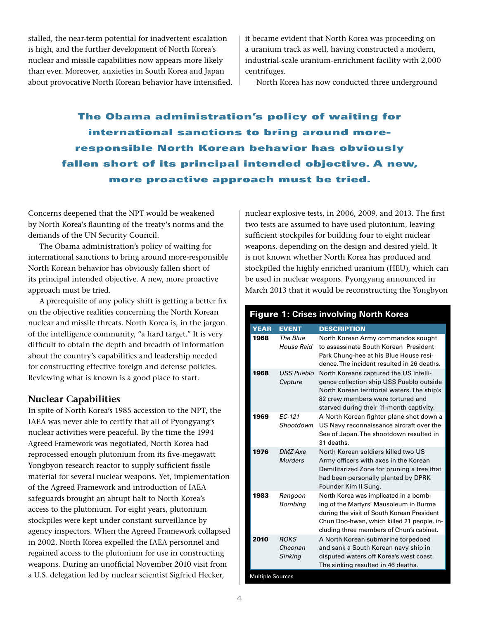stalled, the near-term potential for inadvertent escalation is high, and the further development of North Korea's nuclear and missile capabilities now appears more likely than ever. Moreover, anxieties in South Korea and Japan about provocative North Korean behavior have intensified. it became evident that North Korea was proceeding on a uranium track as well, having constructed a modern, industrial-scale uranium-enrichment facility with 2,000 centrifuges.

North Korea has now conducted three underground

The Obama administration's policy of waiting for international sanctions to bring around moreresponsible North Korean behavior has obviously fallen short of its principal intended objective. A new, more proactive approach must be tried.

Concerns deepened that the NPT would be weakened by North Korea's flaunting of the treaty's norms and the demands of the UN Security Council.

The Obama administration's policy of waiting for international sanctions to bring around more-responsible North Korean behavior has obviously fallen short of its principal intended objective. A new, more proactive approach must be tried.

A prerequisite of any policy shift is getting a better fix on the objective realities concerning the North Korean nuclear and missile threats. North Korea is, in the jargon of the intelligence community, "a hard target." It is very difficult to obtain the depth and breadth of information about the country's capabilities and leadership needed for constructing effective foreign and defense policies. Reviewing what is known is a good place to start.

## **Nuclear Capabilities**

In spite of North Korea's 1985 accession to the NPT, the IAEA was never able to certify that all of Pyongyang's nuclear activities were peaceful. By the time the 1994 Agreed Framework was negotiated, North Korea had reprocessed enough plutonium from its five-megawatt Yongbyon research reactor to supply sufficient fissile material for several nuclear weapons. Yet, implementation of the Agreed Framework and introduction of IAEA safeguards brought an abrupt halt to North Korea's access to the plutonium. For eight years, plutonium stockpiles were kept under constant surveillance by agency inspectors. When the Agreed Framework collapsed in 2002, North Korea expelled the IAEA personnel and regained access to the plutonium for use in constructing weapons. During an unofficial November 2010 visit from a U.S. delegation led by nuclear scientist Sigfried Hecker,

nuclear explosive tests, in 2006, 2009, and 2013. The first two tests are assumed to have used plutonium, leaving sufficient stockpiles for building four to eight nuclear weapons, depending on the design and desired yield. It is not known whether North Korea has produced and stockpiled the highly enriched uranium (HEU), which can be used in nuclear weapons. Pyongyang announced in March 2013 that it would be reconstructing the Yongbyon

| <b>Figure 1: Crises involving North Korea</b> |                                   |                                                                                                                                                                                                                         |
|-----------------------------------------------|-----------------------------------|-------------------------------------------------------------------------------------------------------------------------------------------------------------------------------------------------------------------------|
| <b>YEAR</b>                                   | <b>EVENT</b>                      | <b>DESCRIPTION</b>                                                                                                                                                                                                      |
| 1968                                          | The Blue<br>House Raid            | North Korean Army commandos sought<br>to assassinate South Korean President<br>Park Chung-hee at his Blue House resi-<br>dence. The incident resulted in 26 deaths.                                                     |
| 1968                                          | USS Pueblo<br>Capture             | North Koreans captured the US intelli-<br>gence collection ship USS Pueblo outside<br>North Korean territorial waters. The ship's<br>82 crew members were tortured and<br>starved during their 11-month captivity.      |
| 1969                                          | EC-121<br>Shootdown               | A North Korean fighter plane shot down a<br>US Navy reconnaissance aircraft over the<br>Sea of Japan. The shootdown resulted in<br>31 deaths.                                                                           |
| 1976                                          | <b>DMZ</b> Axe<br><b>Murders</b>  | North Korean soldiers killed two US<br>Army officers with axes in the Korean<br>Demilitarized Zone for pruning a tree that<br>had been personally planted by DPRK<br>Founder Kim II Sung.                               |
| 1983                                          | Rangoon<br>Bombing                | North Korea was implicated in a bomb-<br>ing of the Martyrs' Mausoleum in Burma<br>during the visit of South Korean President<br>Chun Doo-hwan, which killed 21 people, in-<br>cluding three members of Chun's cabinet. |
| 2010                                          | <b>ROKS</b><br>Cheonan<br>Sinking | A North Korean submarine torpedoed<br>and sank a South Korean navy ship in<br>disputed waters off Korea's west coast.<br>The sinking resulted in 46 deaths.                                                             |

Multiple Sources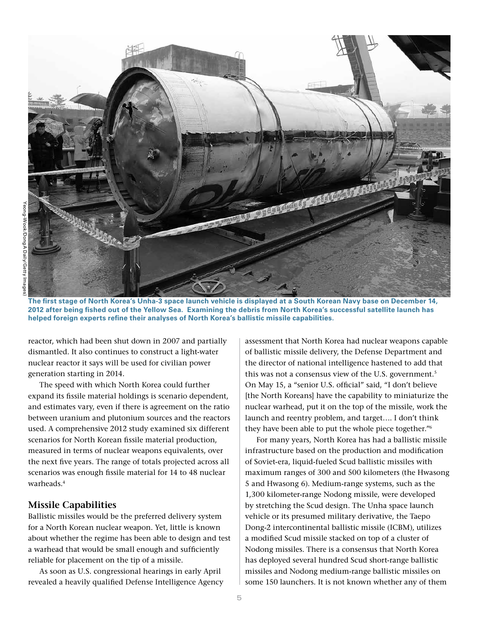

**The first stage of North Korea's Unha-3 space launch vehicle is displayed at a South Korean Navy base on December 14, 2012 after being fished out of the Yellow Sea. Examining the debris from North Korea's successful satellite launch has helped foreign experts refine their analyses of North Korea's ballistic missile capabilities.**

reactor, which had been shut down in 2007 and partially dismantled. It also continues to construct a light-water nuclear reactor it says will be used for civilian power generation starting in 2014.

The speed with which North Korea could further expand its fissile material holdings is scenario dependent, and estimates vary, even if there is agreement on the ratio between uranium and plutonium sources and the reactors used. A comprehensive 2012 study examined six different scenarios for North Korean fissile material production, measured in terms of nuclear weapons equivalents, over the next five years. The range of totals projected across all scenarios was enough fissile material for 14 to 48 nuclear warheads.4

#### **Missile Capabilities**

Ballistic missiles would be the preferred delivery system for a North Korean nuclear weapon. Yet, little is known about whether the regime has been able to design and test a warhead that would be small enough and sufficiently reliable for placement on the tip of a missile.

As soon as U.S. congressional hearings in early April revealed a heavily qualified Defense Intelligence Agency assessment that North Korea had nuclear weapons capable of ballistic missile delivery, the Defense Department and the director of national intelligence hastened to add that this was not a consensus view of the U.S. government.<sup>5</sup> On May 15, a "senior U.S. official" said, "I don't believe [the North Koreans] have the capability to miniaturize the nuclear warhead, put it on the top of the missile, work the launch and reentry problem, and target…. I don't think they have been able to put the whole piece together."6

For many years, North Korea has had a ballistic missile infrastructure based on the production and modification of Soviet-era, liquid-fueled Scud ballistic missiles with maximum ranges of 300 and 500 kilometers (the Hwasong 5 and Hwasong 6). Medium-range systems, such as the 1,300 kilometer-range Nodong missile, were developed by stretching the Scud design. The Unha space launch vehicle or its presumed military derivative, the Taepo Dong-2 intercontinental ballistic missile (ICBM), utilizes a modified Scud missile stacked on top of a cluster of Nodong missiles. There is a consensus that North Korea has deployed several hundred Scud short-range ballistic missiles and Nodong medium-range ballistic missiles on some 150 launchers. It is not known whether any of them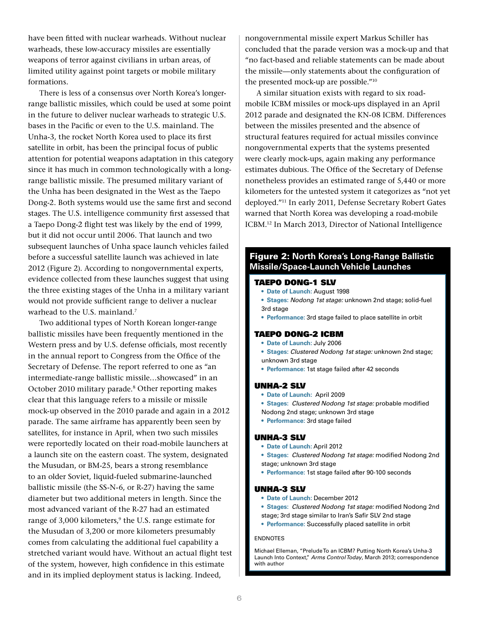have been fitted with nuclear warheads. Without nuclear warheads, these low-accuracy missiles are essentially weapons of terror against civilians in urban areas, of limited utility against point targets or mobile military formations.

There is less of a consensus over North Korea's longerrange ballistic missiles, which could be used at some point in the future to deliver nuclear warheads to strategic U.S. bases in the Pacific or even to the U.S. mainland. The Unha-3, the rocket North Korea used to place its first satellite in orbit, has been the principal focus of public attention for potential weapons adaptation in this category since it has much in common technologically with a longrange ballistic missile. The presumed military variant of the Unha has been designated in the West as the Taepo Dong-2. Both systems would use the same first and second stages. The U.S. intelligence community first assessed that a Taepo Dong-2 flight test was likely by the end of 1999, but it did not occur until 2006. That launch and two subsequent launches of Unha space launch vehicles failed before a successful satellite launch was achieved in late 2012 (Figure 2). According to nongovernmental experts, evidence collected from these launches suggest that using the three existing stages of the Unha in a military variant would not provide sufficient range to deliver a nuclear warhead to the U.S. mainland.7

Two additional types of North Korean longer-range ballistic missiles have been frequently mentioned in the Western press and by U.S. defense officials, most recently in the annual report to Congress from the Office of the Secretary of Defense. The report referred to one as "an intermediate-range ballistic missile…showcased" in an October 2010 military parade.8 Other reporting makes clear that this language refers to a missile or missile mock-up observed in the 2010 parade and again in a 2012 parade. The same airframe has apparently been seen by satellites, for instance in April, when two such missiles were reportedly located on their road-mobile launchers at a launch site on the eastern coast. The system, designated the Musudan, or BM-25, bears a strong resemblance to an older Soviet, liquid-fueled submarine-launched ballistic missile (the SS-N-6, or R-27) having the same diameter but two additional meters in length. Since the most advanced variant of the R-27 had an estimated range of 3,000 kilometers,<sup>9</sup> the U.S. range estimate for the Musudan of 3,200 or more kilometers presumably comes from calculating the additional fuel capability a stretched variant would have. Without an actual flight test of the system, however, high confidence in this estimate and in its implied deployment status is lacking. Indeed,

nongovernmental missile expert Markus Schiller has concluded that the parade version was a mock-up and that "no fact-based and reliable statements can be made about the missile—only statements about the configuration of the presented mock-up are possible."10

A similar situation exists with regard to six roadmobile ICBM missiles or mock-ups displayed in an April 2012 parade and designated the KN-08 ICBM. Differences between the missiles presented and the absence of structural features required for actual missiles convince nongovernmental experts that the systems presented were clearly mock-ups, again making any performance estimates dubious. The Office of the Secretary of Defense nonetheless provides an estimated range of 5,440 or more kilometers for the untested system it categorizes as "not yet deployed."11 In early 2011, Defense Secretary Robert Gates warned that North Korea was developing a road-mobile ICBM.12 In March 2013, Director of National Intelligence

# Figure 2: **North Korea's Long-Range Ballistic Missile/Space-Launch Vehicle Launches**

#### Taepo dong-1 SLV

- **Date of Launch:** August 1998
- **Stages:** *Nodong 1st stage:* unknown 2nd stage; solid-fuel 3rd stage
- **Performance:** 3rd stage failed to place satellite in orbit

#### Taepo dong-2 ICBM

- **Date of Launch:** July 2006
- **Stages:** *Clustered Nodong 1st stage:* unknown 2nd stage; unknown 3rd stage
- **Performance:** 1st stage failed after 42 seconds

#### Unha-2 SLV

- **Date of Launch:** April 2009
- **Stages:** *Clustered Nodong 1st stage:* probable modified
- Nodong 2nd stage; unknown 3rd stage
- **Performance:** 3rd stage failed

#### Unha-3 SLV

- **Date of Launch:** April 2012
- **Stages:** *Clustered Nodong 1st stage:* modified Nodong 2nd stage; unknown 3rd stage
- **Performance:** 1st stage failed after 90-100 seconds

#### Unha-3 SLV

- **Date of Launch:** December 2012
- **Stages:** *Clustered Nodong 1st stage:* modified Nodong 2nd
- stage; 3rd stage similar to Iran's Safir SLV 2nd stage
- **Performance:** Successfully placed satellite in orbit

#### **ENDNOTES**

Michael Elleman, "Prelude To an ICBM? Putting North Korea's Unha-3 Launch Into Context," *Arms Control Today*, March 2013; correspondence with author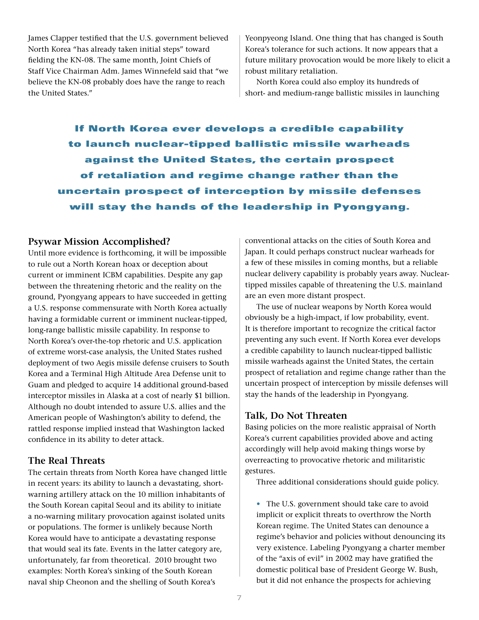James Clapper testified that the U.S. government believed North Korea "has already taken initial steps" toward fielding the KN-08. The same month, Joint Chiefs of Staff Vice Chairman Adm. James Winnefeld said that "we believe the KN-08 probably does have the range to reach the United States."

Yeonpyeong Island. One thing that has changed is South Korea's tolerance for such actions. It now appears that a future military provocation would be more likely to elicit a robust military retaliation.

North Korea could also employ its hundreds of short- and medium-range ballistic missiles in launching

If North Korea ever develops a credible capability to launch nuclear-tipped ballistic missile warheads against the United States, the certain prospect of retaliation and regime change rather than the uncertain prospect of interception by missile defenses will stay the hands of the leadership in Pyongyang.

## **Psywar Mission Accomplished?**

Until more evidence is forthcoming, it will be impossible to rule out a North Korean hoax or deception about current or imminent ICBM capabilities. Despite any gap between the threatening rhetoric and the reality on the ground, Pyongyang appears to have succeeded in getting a U.S. response commensurate with North Korea actually having a formidable current or imminent nuclear-tipped, long-range ballistic missile capability. In response to North Korea's over-the-top rhetoric and U.S. application of extreme worst-case analysis, the United States rushed deployment of two Aegis missile defense cruisers to South Korea and a Terminal High Altitude Area Defense unit to Guam and pledged to acquire 14 additional ground-based interceptor missiles in Alaska at a cost of nearly \$1 billion. Although no doubt intended to assure U.S. allies and the American people of Washington's ability to defend, the rattled response implied instead that Washington lacked confidence in its ability to deter attack.

# **The Real Threats**

The certain threats from North Korea have changed little in recent years: its ability to launch a devastating, shortwarning artillery attack on the 10 million inhabitants of the South Korean capital Seoul and its ability to initiate a no-warning military provocation against isolated units or populations. The former is unlikely because North Korea would have to anticipate a devastating response that would seal its fate. Events in the latter category are, unfortunately, far from theoretical. 2010 brought two examples: North Korea's sinking of the South Korean naval ship Cheonon and the shelling of South Korea's

conventional attacks on the cities of South Korea and Japan. It could perhaps construct nuclear warheads for a few of these missiles in coming months, but a reliable nuclear delivery capability is probably years away. Nucleartipped missiles capable of threatening the U.S. mainland are an even more distant prospect.

The use of nuclear weapons by North Korea would obviously be a high-impact, if low probability, event. It is therefore important to recognize the critical factor preventing any such event. If North Korea ever develops a credible capability to launch nuclear-tipped ballistic missile warheads against the United States, the certain prospect of retaliation and regime change rather than the uncertain prospect of interception by missile defenses will stay the hands of the leadership in Pyongyang.

# **Talk, Do Not Threaten**

Basing policies on the more realistic appraisal of North Korea's current capabilities provided above and acting accordingly will help avoid making things worse by overreacting to provocative rhetoric and militaristic gestures.

Three additional considerations should guide policy.

• The U.S. government should take care to avoid implicit or explicit threats to overthrow the North Korean regime. The United States can denounce a regime's behavior and policies without denouncing its very existence. Labeling Pyongyang a charter member of the "axis of evil" in 2002 may have gratified the domestic political base of President George W. Bush, but it did not enhance the prospects for achieving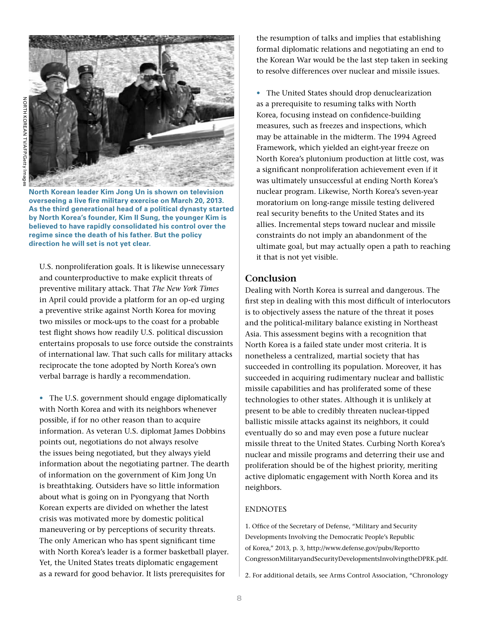



**North Korean leader Kim Jong Un is shown on television overseeing a live fire military exercise on March 20, 2013. As the third generational head of a political dynasty started by North Korea's founder, Kim Il Sung, the younger Kim is believed to have rapidly consolidated his control over the regime since the death of his father. But the policy direction he will set is not yet clear.**

U.S. nonproliferation goals. It is likewise unnecessary and counterproductive to make explicit threats of preventive military attack. That *The New York Times* in April could provide a platform for an op-ed urging a preventive strike against North Korea for moving two missiles or mock-ups to the coast for a probable test flight shows how readily U.S. political discussion entertains proposals to use force outside the constraints of international law. That such calls for military attacks reciprocate the tone adopted by North Korea's own verbal barrage is hardly a recommendation.

• The U.S. government should engage diplomatically with North Korea and with its neighbors whenever possible, if for no other reason than to acquire information. As veteran U.S. diplomat James Dobbins points out, negotiations do not always resolve the issues being negotiated, but they always yield information about the negotiating partner. The dearth of information on the government of Kim Jong Un is breathtaking. Outsiders have so little information about what is going on in Pyongyang that North Korean experts are divided on whether the latest crisis was motivated more by domestic political maneuvering or by perceptions of security threats. The only American who has spent significant time with North Korea's leader is a former basketball player. Yet, the United States treats diplomatic engagement as a reward for good behavior. It lists prerequisites for

the resumption of talks and implies that establishing formal diplomatic relations and negotiating an end to the Korean War would be the last step taken in seeking to resolve differences over nuclear and missile issues.

• The United States should drop denuclearization as a prerequisite to resuming talks with North Korea, focusing instead on confidence-building measures, such as freezes and inspections, which may be attainable in the midterm. The 1994 Agreed Framework, which yielded an eight-year freeze on North Korea's plutonium production at little cost, was a significant nonproliferation achievement even if it was ultimately unsuccessful at ending North Korea's nuclear program. Likewise, North Korea's seven-year moratorium on long-range missile testing delivered real security benefits to the United States and its allies. Incremental steps toward nuclear and missile constraints do not imply an abandonment of the ultimate goal, but may actually open a path to reaching it that is not yet visible.

# **Conclusion**

Dealing with North Korea is surreal and dangerous. The first step in dealing with this most difficult of interlocutors is to objectively assess the nature of the threat it poses and the political-military balance existing in Northeast Asia. This assessment begins with a recognition that North Korea is a failed state under most criteria. It is nonetheless a centralized, martial society that has succeeded in controlling its population. Moreover, it has succeeded in acquiring rudimentary nuclear and ballistic missile capabilities and has proliferated some of these technologies to other states. Although it is unlikely at present to be able to credibly threaten nuclear-tipped ballistic missile attacks against its neighbors, it could eventually do so and may even pose a future nuclear missile threat to the United States. Curbing North Korea's nuclear and missile programs and deterring their use and proliferation should be of the highest priority, meriting active diplomatic engagement with North Korea and its neighbors.

## **ENDNOTES**

1. Office of the Secretary of Defense, "Military and Security Developments Involving the Democratic People's Republic of Korea," 2013, p. 3, http://www.defense.gov/pubs/Reportto CongressonMilitaryandSecurityDevelopmentsInvolvingtheDPRK.pdf.

2. For additional details, see Arms Control Association, "Chronology